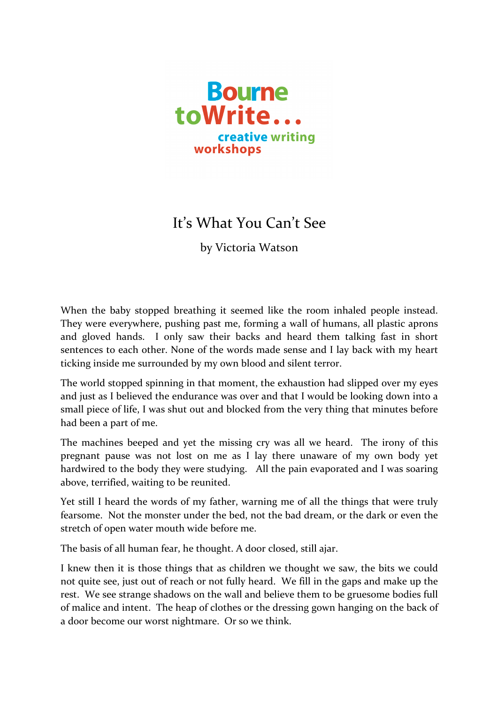

## It's What You Can't See

by Victoria Watson

When the baby stopped breathing it seemed like the room inhaled people instead. They were everywhere, pushing past me, forming a wall of humans, all plastic aprons and gloved hands. I only saw their backs and heard them talking fast in short sentences to each other. None of the words made sense and I lay back with my heart ticking inside me surrounded by my own blood and silent terror.

The world stopped spinning in that moment, the exhaustion had slipped over my eyes and just as I believed the endurance was over and that I would be looking down into a small piece of life, I was shut out and blocked from the very thing that minutes before had been a part of me.

The machines beeped and yet the missing cry was all we heard. The irony of this pregnant pause was not lost on me as I lay there unaware of my own body yet hardwired to the body they were studying. All the pain evaporated and I was soaring above, terrified, waiting to be reunited.

Yet still I heard the words of my father, warning me of all the things that were truly fearsome. Not the monster under the bed, not the bad dream, or the dark or even the stretch of open water mouth wide before me.

The basis of all human fear, he thought. A door closed, still ajar.

I knew then it is those things that as children we thought we saw, the bits we could not quite see, just out of reach or not fully heard. We fill in the gaps and make up the rest. We see strange shadows on the wall and believe them to be gruesome bodies full of malice and intent. The heap of clothes or the dressing gown hanging on the back of a door become our worst nightmare. Or so we think.